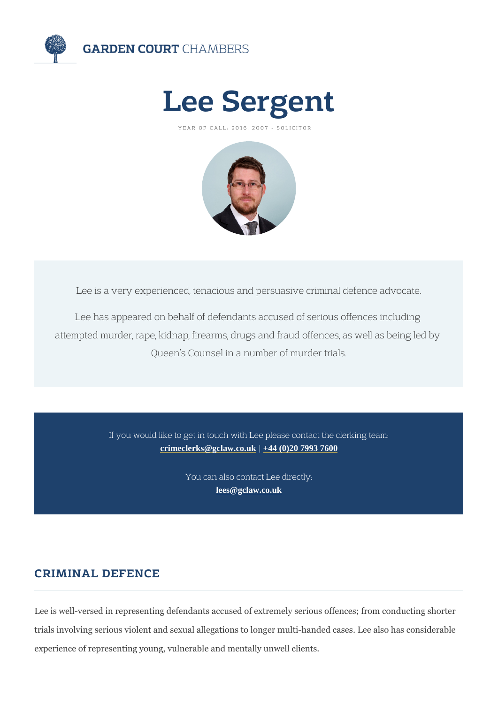# Lee Sergent

YEAR OF CALL: 2016, 2007 - SOLICITOR

Lee is a very experienced, tenacious and persuasive criminal

Lee has appeared on behalf of defendants accused of seric attempted murder, rape, kidnap, firearms, drugs and fraud off Queen s Counsel in a number of murder trials.

> If you would like to get in touch with Lee please contact [crimeclerks@gclaw.co.uk](mailto:crimeclerks@gclaw.co.uk)|[+44 \(0\)20 7993 760](tel:+44 (0)20 7993 7600)0

> > You can also contact Lee directly: [lees@gclaw.co.u](mailto:lees@gclaw.co.uk)k

## CRIMINAL DEFENCE

Lee is well-versed in representing defendants accused of extremely serio trials involving serious violent and sexual allegations to longer multi-han experience of representing young, vulnerable and mentally unwell clients.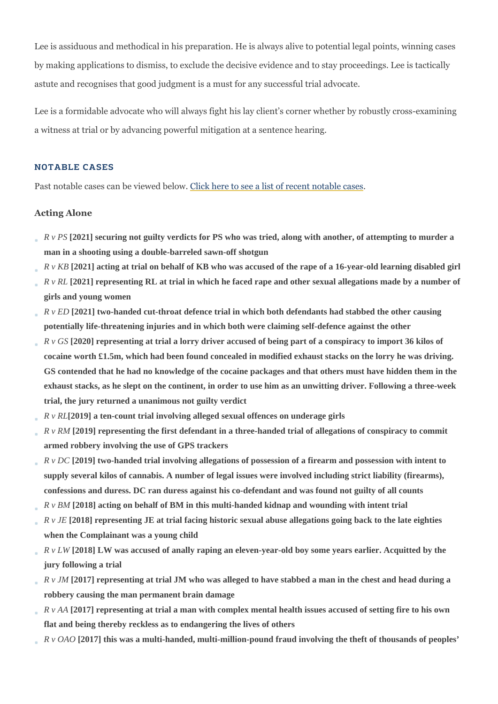Lee is assiduous and methodical in his preparation. He is always alive to by making applications to dismiss, to exclude the decisive evidence and t astute and recognises that good judgment is a must for any successful tri

Lee is a formidable advocate who will always fight his lay client s corner a witness at trial or by advancing powerful mitigation at a sentence heari

#### NOTABLE CASES

Past notable cases can belivik wheed ebelowee a list of recent notable cases

#### Acting Alone

R v PS 2021] securing not quilty verdicts for PS who was tried, along with another, of attempting to murder a man in a shooting using a double-barreled sawn-off shotgun

R v KB [2021] acting at trial on behalf of KB who was accused of the rape of a 16-year-old learning disabled girl R v RL [2021] representing RL at trial in which he faced rape and other sexual allegations made by a number of girls and young women

R v ED[2021] two-handed cut-throat defence trial in which both defendants had stabbed the other causing potentially life-threatening injuries and in which both were claiming self-defence against the other R v GS [2020] representing at trial a lorry driver accused of being part of a conspiracy to import 36 kilos of cocaine worth £1.5m, which had been found concealed in modified exhaust stacks on the lorry he was driving. GS contended that he had no knowledge of the cocaine packages and that others must have hidden them in the exhaust stacks, as he slept on the continent, in order to use him as an unwitting driver. Following a three-week trial, the jury returned a unanimous not guilty verdict

R v RI[2019] a ten-count trial involving alleged sexual offences on underage girls

R v RM[2019] representing the first defendant in a three-handed trial of allegations of conspiracy to commit armed robbery involving the use of GPS trackers

R v DC[2019] two-handed trial involving allegations of possession of a firearm and possession with intent to supply several kilos of cannabis. A number of legal issues were involved including strict liability (firearms), confessions and duress. DC ran duress against his co-defendant and was found not guilty of all counts

R v BM [2018] acting on behalf of BM in this multi-handed kidnap and wounding with intent trial

R v JE [2018] representing JE at trial facing historic sexual abuse allegations going back to the late eighties when the Complainant was a young child

R v LW[2018] LW was accused of anally raping an eleven-year-old boy some years earlier. Acquitted by the jury following a trial

R v JM [2017] representing at trial JM who was alleged to have stabbed a man in the chest and head during a robbery causing the man permanent brain damage

R v AA [2017] representing at trial a man with complex mental health issues accused of setting fire to his own flat and being thereby reckless as to endangering the lives of others

R v OAO [2017] this was a multi-handed, multi-million-pound fraud involving the theft of thousands of peoples'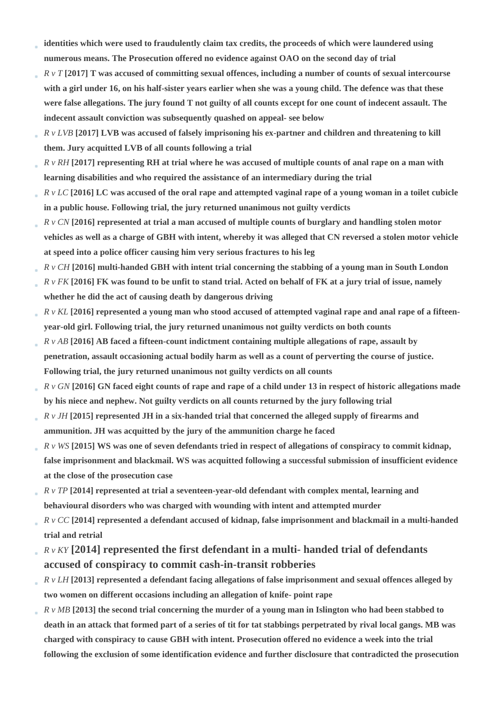- **identities which were used to fraudulently claim tax credits, the proceeds of which were laundered using numerous means. The Prosecution offered no evidence against OAO on the second day of trial**
- *R v T* **[2017] T was accused of committing sexual offences, including a number of counts of sexual intercourse with a girl under 16, on his half-sister years earlier when she was a young child. The defence was that these were false allegations. The jury found T not guilty of all counts except for one count of indecent assault. The indecent assault conviction was subsequently quashed on appeal- see below**
- *R v LVB* **[2017] LVB was accused of falsely imprisoning his ex-partner and children and threatening to kill them. Jury acquitted LVB of all counts following a trial**
- *R v RH* **[2017] representing RH at trial where he was accused of multiple counts of anal rape on a man with learning disabilities and who required the assistance of an intermediary during the trial**
- *R v LC* **[2016] LC was accused of the oral rape and attempted vaginal rape of a young woman in a toilet cubicle in a public house. Following trial, the jury returned unanimous not guilty verdicts**
- *R v CN* **[2016] represented at trial a man accused of multiple counts of burglary and handling stolen motor vehicles as well as a charge of GBH with intent, whereby it was alleged that CN reversed a stolen motor vehicle at speed into a police officer causing him very serious fractures to his leg**
- *R v CH* **[2016] multi-handed GBH with intent trial concerning the stabbing of a young man in South London**
- *R v FK* **[2016] FK was found to be unfit to stand trial. Acted on behalf of FK at a jury trial of issue, namely whether he did the act of causing death by dangerous driving**
- *R v KL* **[2016] represented a young man who stood accused of attempted vaginal rape and anal rape of a fifteen-**÷ **year-old girl. Following trial, the jury returned unanimous not guilty verdicts on both counts**
- *R v AB* **[2016] AB faced a fifteen-count indictment containing multiple allegations of rape, assault by penetration, assault occasioning actual bodily harm as well as a count of perverting the course of justice. Following trial, the jury returned unanimous not guilty verdicts on all counts**
- *R v GN* **[2016] GN faced eight counts of rape and rape of a child under 13 in respect of historic allegations made by his niece and nephew. Not guilty verdicts on all counts returned by the jury following trial**
- *R v JH* **[2015] represented JH in a six-handed trial that concerned the alleged supply of firearms and ammunition. JH was acquitted by the jury of the ammunition charge he faced**
- *R v WS* **[2015] WS was one of seven defendants tried in respect of allegations of conspiracy to commit kidnap, false imprisonment and blackmail. WS was acquitted following a successful submission of insufficient evidence at the close of the prosecution case**
- *R v TP* **[2014] represented at trial a seventeen-year-old defendant with complex mental, learning and behavioural disorders who was charged with wounding with intent and attempted murder**
- *R v CC* **[2014] represented a defendant accused of kidnap, false imprisonment and blackmail in a multi-handed trial and retrial**
- *R v KY* **[2014] represented the first defendant in a multi- handed trial of defendants accused of conspiracy to commit cash-in-transit robberies**
- *R v LH* **[2013] represented a defendant facing allegations of false imprisonment and sexual offences alleged by two women on different occasions including an allegation of knife- point rape**
- *R v MB* **[2013] the second trial concerning the murder of a young man in Islington who had been stabbed to death in an attack that formed part of a series of tit for tat stabbings perpetrated by rival local gangs. MB was charged with conspiracy to cause GBH with intent. Prosecution offered no evidence a week into the trial following the exclusion of some identification evidence and further disclosure that contradicted the prosecution**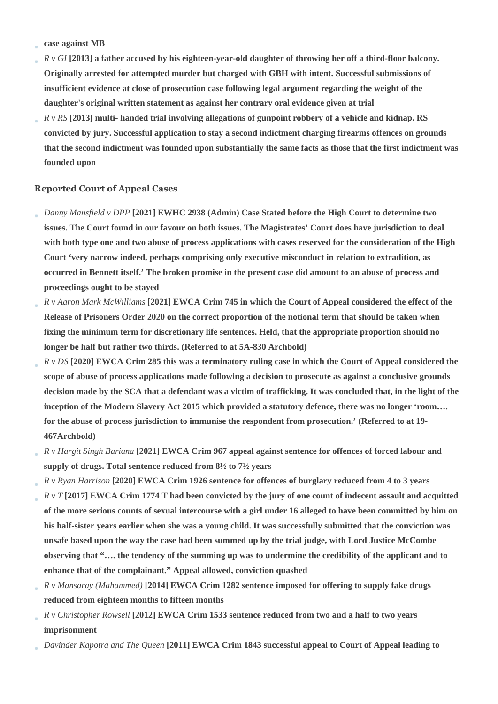- **case against MB**
- *R v GI* **[2013] a father accused by his eighteen-year-old daughter of throwing her off a third-floor balcony. Originally arrested for attempted murder but charged with GBH with intent. Successful submissions of insufficient evidence at close of prosecution case following legal argument regarding the weight of the daughter's original written statement as against her contrary oral evidence given at trial**
- *R v RS* **[2013] multi- handed trial involving allegations of gunpoint robbery of a vehicle and kidnap. RS convicted by jury. Successful application to stay a second indictment charging firearms offences on grounds that the second indictment was founded upon substantially the same facts as those that the first indictment was founded upon**

#### **Reported Court of Appeal Cases**

- *Danny Mansfield v DPP* **[2021] EWHC 2938 (Admin) Case Stated before the High Court to determine two issues. The Court found in our favour on both issues. The Magistrates' Court does have jurisdiction to deal with both type one and two abuse of process applications with cases reserved for the consideration of the High Court 'very narrow indeed, perhaps comprising only executive misconduct in relation to extradition, as occurred in Bennett itself.' The broken promise in the present case did amount to an abuse of process and proceedings ought to be stayed**
- *R v Aaron Mark McWilliams* **[2021] EWCA Crim 745 in which the Court of Appeal considered the effect of the Release of Prisoners Order 2020 on the correct proportion of the notional term that should be taken when fixing the minimum term for discretionary life sentences. Held, that the appropriate proportion should no longer be half but rather two thirds. (Referred to at 5A-830 Archbold)**
- *R v DS* **[2020] EWCA Crim 285 this was a terminatory ruling case in which the Court of Appeal considered the scope of abuse of process applications made following a decision to prosecute as against a conclusive grounds decision made by the SCA that a defendant was a victim of trafficking. It was concluded that, in the light of the inception of the Modern Slavery Act 2015 which provided a statutory defence, there was no longer 'room…. for the abuse of process jurisdiction to immunise the respondent from prosecution.' (Referred to at 19- 467Archbold)**
- *R v Hargit Singh Bariana* **[2021] EWCA Crim 967 appeal against sentence for offences of forced labour and supply of drugs. Total sentence reduced from 8½ to 7½ years**
- *R v Ryan Harrison* **[2020] EWCA Crim 1926 sentence for offences of burglary reduced from 4 to 3 years**
- *R v T* **[2017] EWCA Crim 1774 T had been convicted by the jury of one count of indecent assault and acquitted of the more serious counts of sexual intercourse with a girl under 16 alleged to have been committed by him on his half-sister years earlier when she was a young child. It was successfully submitted that the conviction was unsafe based upon the way the case had been summed up by the trial judge, with Lord Justice McCombe observing that "…. the tendency of the summing up was to undermine the credibility of the applicant and to enhance that of the complainant." Appeal allowed, conviction quashed**
- *R v Mansaray (Mahammed)* **[2014] EWCA Crim 1282 sentence imposed for offering to supply fake drugs reduced from eighteen months to fifteen months**
- *R v Christopher Rowsell* **[2012] EWCA Crim 1533 sentence reduced from two and a half to two years imprisonment**
- *Davinder Kapotra and The Queen* **[2011] EWCA Crim 1843 successful appeal to Court of Appeal leading to**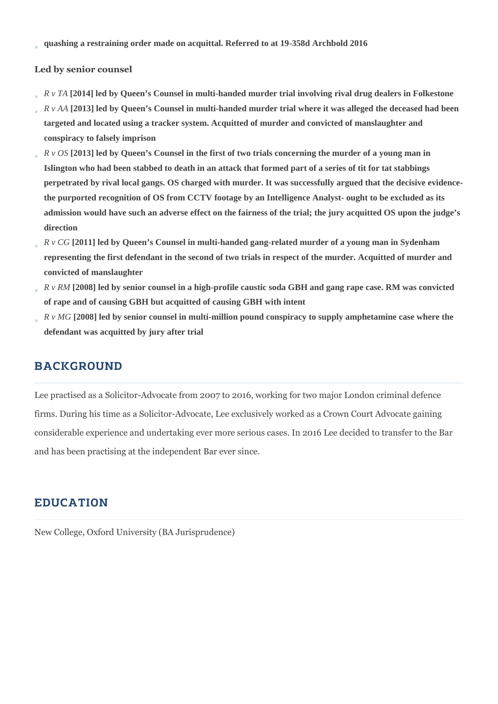**quashing a restraining order made on acquittal. Referred to at 19-358d Archbold 2016**

### **Led by senior counsel**

- *R v TA* **[2014] led by Queen's Counsel in multi-handed murder trial involving rival drug dealers in Folkestone**
- *R v AA* **[2013] led by Queen's Counsel in multi-handed murder trial where it was alleged the deceased had been targeted and located using a tracker system. Acquitted of murder and convicted of manslaughter and conspiracy to falsely imprison**
- *R v OS* **[2013] led by Queen's Counsel in the first of two trials concerning the murder of a young man in Islington who had been stabbed to death in an attack that formed part of a series of tit for tat stabbings perpetrated by rival local gangs. OS charged with murder. It was successfully argued that the decisive evidencethe purported recognition of OS from CCTV footage by an Intelligence Analyst- ought to be excluded as its admission would have such an adverse effect on the fairness of the trial; the jury acquitted OS upon the judge's direction**
- *R v CG* **[2011] led by Queen's Counsel in multi-handed gang-related murder of a young man in Sydenham representing the first defendant in the second of two trials in respect of the murder. Acquitted of murder and convicted of manslaughter**
- *R v RM* **[2008] led by senior counsel in a high-profile caustic soda GBH and gang rape case. RM was convicted of rape and of causing GBH but acquitted of causing GBH with intent**
- *R v MG* **[2008] led by senior counsel in multi-million pound conspiracy to supply amphetamine case where the defendant was acquitted by jury after trial**

## **BACKGROUND**

Lee practised as a Solicitor-Advocate from 2007 to 2016, working for two major London criminal defence firms. During his time as a Solicitor-Advocate, Lee exclusively worked as a Crown Court Advocate gaining considerable experience and undertaking ever more serious cases. In 2016 Lee decided to transfer to the Bar and has been practising at the independent Bar ever since.

## EDUCATION

New College, Oxford University (BA Jurisprudence)